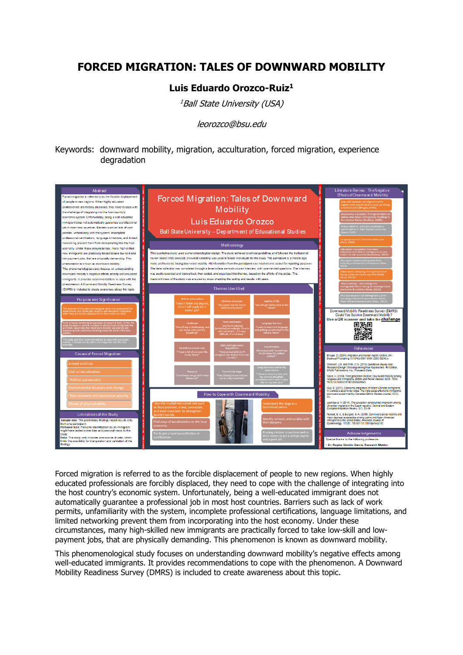## **FORCED MIGRATION: TALES OF DOWNWARD MOBILITY**

## Luis Eduardo Orozco-Ruiz<sup>1</sup>

<sup>1</sup>Ball State University (USA)

leorozco@bsu.edu

Keywords: downward mobility, migration, acculturation, forced migration, experience degradation



Forced migration is referred to as the forcible displacement of people to new regions. When highly educated professionals are forcibly displaced, they need to cope with the challenge of integrating into the host country's economic system. Unfortunately, being a well-educated immigrant does not automatically quarantee a professional job in most host countries. Barriers such as lack of work permits, unfamiliarity with the system, incomplete professional certifications, language limitations, and limited networking prevent them from incorporating into the host economy. Under these circumstances, many high-skilled new immigrants are practically forced to take low-skill and lowpayment jobs, that are physically demanding. This phenomenon is known as downward mobility.

This phenomenological study focuses on understanding downward mobility's negative effects among well-educated immigrants. It provides recommendations to cope with the phenomenon. A Downward Mobility Readiness Survey (DMRS) is included to create awareness about this topic.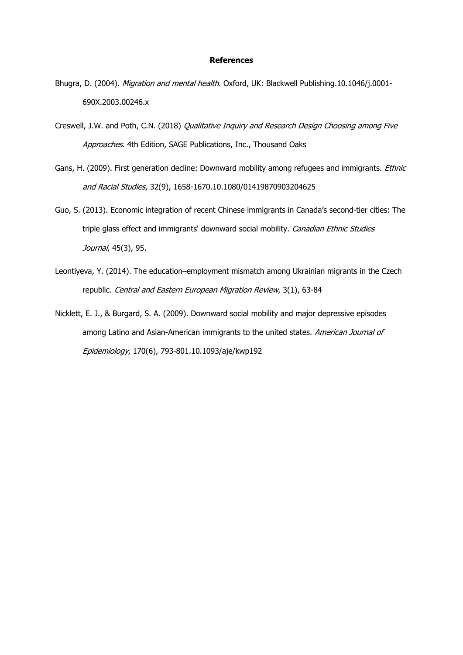## **References**

- Bhugra, D. (2004). Migration and mental health. Oxford, UK: Blackwell Publishing.10.1046/j.0001-690X.2003.00246.x
- Creswell, J.W. and Poth, C.N. (2018) Qualitative Inquiry and Research Design Choosing among Five Approaches. 4th Edition, SAGE Publications, Inc., Thousand Oaks
- Gans, H. (2009). First generation decline: Downward mobility among refugees and immigrants. *Ethnic* and Racial Studies, 32(9), 1658-1670.10.1080/01419870903204625
- Guo, S. (2013). Economic integration of recent Chinese immigrants in Canada's second-tier cities: The triple glass effect and immigrants' downward social mobility. Canadian Ethnic Studies Journal, 45(3), 95.
- Leontiyeva, Y. (2014). The education–employment mismatch among Ukrainian migrants in the Czech republic. Central and Eastern European Migration Review, 3(1), 63-84
- Nicklett, E. J., & Burgard, S. A. (2009). Downward social mobility and major depressive episodes among Latino and Asian-American immigrants to the united states. American Journal of Epidemiology, 170(6), 793-801.10.1093/aje/kwp192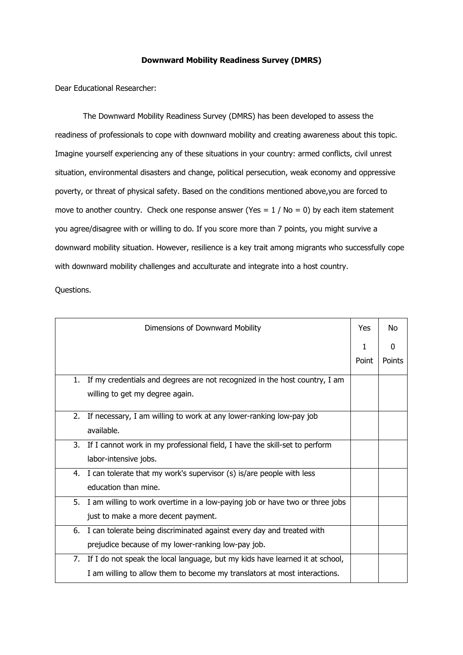## **Downward Mobility Readiness Survey (DMRS)**

Dear Educational Researcher:

The Downward Mobility Readiness Survey (DMRS) has been developed to assess the readiness of professionals to cope with downward mobility and creating awareness about this topic. Imagine yourself experiencing any of these situations in your country: armed conflicts, civil unrest situation, environmental disasters and change, political persecution, weak economy and oppressive poverty, or threat of physical safety. Based on the conditions mentioned above,you are forced to move to another country. Check one response answer (Yes =  $1 / No = 0$ ) by each item statement you agree/disagree with or willing to do. If you score more than 7 points, you might survive a downward mobility situation. However, resilience is a key trait among migrants who successfully cope with downward mobility challenges and acculturate and integrate into a host country.

Questions.

|    | Dimensions of Downward Mobility                                              | Yes   | No     |
|----|------------------------------------------------------------------------------|-------|--------|
|    |                                                                              | 1     | 0      |
|    |                                                                              | Point | Points |
| 1. | If my credentials and degrees are not recognized in the host country, I am   |       |        |
|    | willing to get my degree again.                                              |       |        |
| 2. | If necessary, I am willing to work at any lower-ranking low-pay job          |       |        |
|    |                                                                              |       |        |
|    | available.                                                                   |       |        |
| 3. | If I cannot work in my professional field, I have the skill-set to perform   |       |        |
|    | labor-intensive jobs.                                                        |       |        |
|    | 4. I can tolerate that my work's supervisor (s) is/are people with less      |       |        |
|    | education than mine.                                                         |       |        |
| 5. | I am willing to work overtime in a low-paying job or have two or three jobs  |       |        |
|    | just to make a more decent payment.                                          |       |        |
| 6. | I can tolerate being discriminated against every day and treated with        |       |        |
|    | prejudice because of my lower-ranking low-pay job.                           |       |        |
| 7. | If I do not speak the local language, but my kids have learned it at school, |       |        |
|    | I am willing to allow them to become my translators at most interactions.    |       |        |